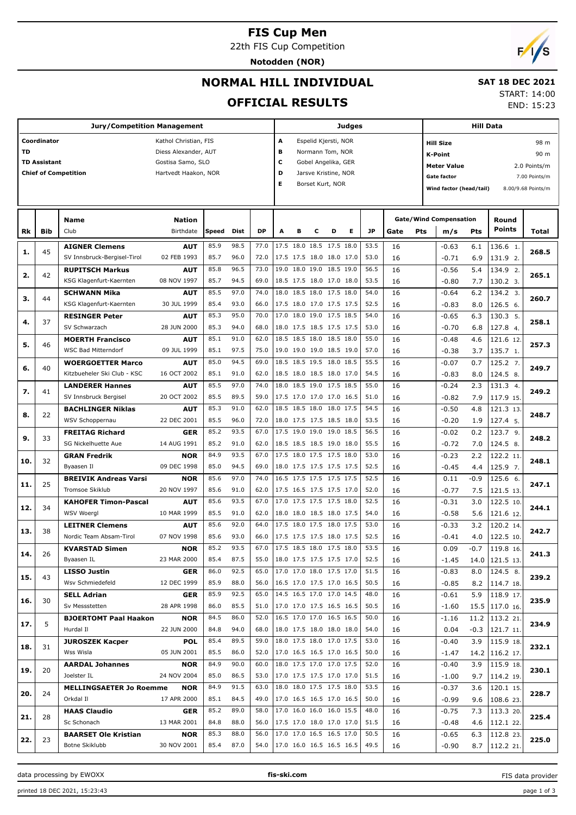# **FIS Cup Men**

22th FIS Cup Competition

**Notodden (NOR)**



# **NORMAL HILL INDIVIDUAL**

## **SAT 18 DEC 2021**

## **OFFICIAL RESULTS**

START: 14:00

END: 15:23

|     |                     | <b>Jury/Competition Management</b>            |                           |              |              |              |                                                      |   |   |                          | Judges |                                        |      |            |                               |        | <b>Hill Data</b>                   |                               |
|-----|---------------------|-----------------------------------------------|---------------------------|--------------|--------------|--------------|------------------------------------------------------|---|---|--------------------------|--------|----------------------------------------|------|------------|-------------------------------|--------|------------------------------------|-------------------------------|
|     | Coordinator         |                                               | Kathol Christian, FIS     |              |              |              | Α                                                    |   |   | Espelid Kjersti, NOR     |        |                                        |      |            | <b>Hill Size</b>              |        |                                    | 98 m                          |
| TD  |                     |                                               | Diess Alexander, AUT      |              |              |              | в                                                    |   |   | Normann Tom, NOR         |        |                                        |      |            | <b>K-Point</b>                |        |                                    | 90 m                          |
|     | <b>TD Assistant</b> |                                               | Gostisa Samo, SLO         |              |              |              | c                                                    |   |   | Gobel Angelika, GER      |        |                                        |      |            | <b>Meter Value</b>            |        |                                    |                               |
|     |                     | <b>Chief of Competition</b>                   | Hartvedt Haakon, NOR      |              |              |              | D                                                    |   |   | Jarsve Kristine, NOR     |        |                                        |      |            | <b>Gate factor</b>            |        |                                    | 2.0 Points/m<br>7.00 Points/m |
|     |                     |                                               |                           |              |              |              | Е                                                    |   |   | Borset Kurt, NOR         |        |                                        |      |            |                               |        |                                    |                               |
|     |                     |                                               |                           |              |              |              |                                                      |   |   |                          |        |                                        |      |            | Wind factor (head/tail)       |        |                                    | 8.00/9.68 Points/m            |
|     |                     |                                               |                           |              |              |              |                                                      |   |   |                          |        |                                        |      |            |                               |        |                                    |                               |
|     |                     | Name                                          | <b>Nation</b>             |              |              |              |                                                      |   |   |                          |        |                                        |      |            | <b>Gate/Wind Compensation</b> |        | Round                              |                               |
| Rk  | <b>Bib</b>          | Club                                          | Birthdate                 | Speed        | Dist         | <b>DP</b>    | A                                                    | B | c | D                        | Е      | <b>JP</b>                              | Gate | <b>Pts</b> | m/s                           | Pts    | <b>Points</b>                      | Total                         |
| 1.  | 45                  | <b>AIGNER Clemens</b>                         | <b>AUT</b>                | 85.9         | 98.5         | 77.0         |                                                      |   |   | 17.5 18.0 18.5 17.5 18.0 |        | 53.5                                   | 16   |            | $-0.63$                       | 6.1    | 136.6 1.                           | 268.5                         |
|     |                     | SV Innsbruck-Bergisel-Tirol                   | 02 FEB 1993               | 85.7         | 96.0         | 72.0         |                                                      |   |   | 17.5 17.5 18.0 18.0 17.0 |        | 53.0                                   | 16   |            | $-0.71$                       | 6.9    | 131.9 2.                           |                               |
| 2.  | 42                  | <b>RUPITSCH Markus</b>                        | <b>AUT</b>                | 85.8         | 96.5         | 73.0         |                                                      |   |   | 19.0 18.0 19.0 18.5 19.0 |        | 56.5                                   | 16   |            | $-0.56$                       | 5.4    | 134.9 2.                           | 265.1                         |
|     |                     | KSG Klagenfurt-Kaernten                       | 08 NOV 1997               | 85.7         | 94.5         | 69.0         |                                                      |   |   | 18.5 17.5 18.0 17.0 18.0 |        | 53.5                                   | 16   |            | $-0.80$                       | 7.7    | 130.2 3.                           |                               |
| з.  | 44                  | <b>SCHWANN Mika</b>                           | <b>AUT</b>                | 85.5         | 97.0         | 74.0         |                                                      |   |   | 18.0 18.5 18.0 17.5 18.0 |        | 54.0                                   | 16   |            | $-0.64$                       | 6.2    | 134.2 3.                           | 260.7                         |
|     |                     | KSG Klagenfurt-Kaernten                       | 30 JUL 1999               | 85.4         | 93.0         | 66.0         |                                                      |   |   | 17.5 18.0 17.0 17.5 17.5 |        | 52.5                                   | 16   |            | $-0.83$                       | 8.0    | 126.5 6.                           |                               |
| 4.  | 37                  | <b>RESINGER Peter</b>                         | <b>AUT</b>                | 85.3         | 95.0         | 70.0         |                                                      |   |   | 17.0 18.0 19.0 17.5 18.5 |        | 54.0                                   | 16   |            | $-0.65$                       | 6.3    | 130.3 5.                           | 258.1                         |
|     |                     | SV Schwarzach                                 | 28 JUN 2000               | 85.3         | 94.0         | 68.0         |                                                      |   |   | 18.0 17.5 18.5 17.5 17.5 |        | 53.0                                   | 16   |            | $-0.70$                       | 6.8    | 127.8 4.                           |                               |
| 5.  | 46                  | <b>MOERTH Francisco</b>                       | <b>AUT</b>                | 85.1         | 91.0         | 62.0         |                                                      |   |   | 18.5 18.5 18.0 18.5 18.0 |        | 55.0                                   | 16   |            | $-0.48$                       | 4.6    | 121.6 12.                          | 257.3                         |
|     |                     | <b>WSC Bad Mitterndorf</b>                    | 09 JUL 1999               | 85.1         | 97.5         | 75.0         |                                                      |   |   | 19.0 19.0 19.0 18.5 19.0 |        | 57.0                                   | 16   |            | $-0.38$                       | 3.7    | 135.7 1.                           |                               |
| 6.  | 40                  | <b>WOERGOETTER Marco</b>                      | <b>AUT</b>                | 85.0         | 94.5         | 69.0         |                                                      |   |   | 18.5 18.5 19.5 18.0 18.5 |        | 55.5                                   | 16   |            | $-0.07$                       | 0.7    | 125.2 7.                           | 249.7                         |
|     |                     | Kitzbueheler Ski Club - KSC                   | 16 OCT 2002               | 85.1         | 91.0         | 62.0         |                                                      |   |   | 18.5 18.0 18.5 18.0 17.0 |        | 54.5                                   | 16   |            | $-0.83$                       | 8.0    | 124.5 8.                           |                               |
| 7.  | 41                  | <b>LANDERER Hannes</b>                        | <b>AUT</b>                | 85.5         | 97.0         | 74.0         |                                                      |   |   | 18.0 18.5 19.0 17.5 18.5 |        | 55.0                                   | 16   |            | $-0.24$                       | 2.3    | 131.3 4.                           | 249.2                         |
|     |                     | SV Innsbruck Bergisel                         | 20 OCT 2002               | 85.5         | 89.5         | 59.0         | 17.5 17.0 17.0 17.0 16.5                             |   |   |                          |        | 51.0                                   | 16   |            | $-0.82$                       | 7.9    | 117.9 15.                          |                               |
| 8.  | 22                  | <b>BACHLINGER Niklas</b>                      | <b>AUT</b>                | 85.3         | 91.0         | 62.0         |                                                      |   |   | 18.5 18.5 18.0 18.0 17.5 |        | 54.5                                   | 16   |            | $-0.50$                       | 4.8    | 121.3 13.                          | 248.7                         |
|     |                     | WSV Schoppernau                               | 22 DEC 2001               | 85.5         | 96.0         | 72.0         |                                                      |   |   | 18.0 17.5 17.5 18.5 18.0 |        | 53.5                                   | 16   |            | $-0.20$                       | 1.9    | 127.4 5.                           |                               |
| 9.  | 33                  | <b>FREITAG Richard</b>                        | <b>GER</b>                | 85.2         | 93.5         | 67.0         |                                                      |   |   | 17.5 19.0 19.0 19.0 18.5 |        | 56.5                                   | 16   |            | $-0.02$                       | 0.2    | 123.7 9.                           | 248.2                         |
|     |                     | SG Nickelhuette Aue                           | 14 AUG 1991               | 85.2         | 91.0         | 62.0         |                                                      |   |   | 18.5 18.5 18.5 19.0 18.0 |        | 55.5                                   | 16   |            | $-0.72$                       | 7.0    | 124.5 8.                           |                               |
| 10. | 32                  | <b>GRAN Fredrik</b>                           | <b>NOR</b>                | 84.9         | 93.5         | 67.0         | 17.5 18.0 17.5 17.5 18.0                             |   |   |                          |        | 53.0                                   | 16   |            | $-0.23$                       | 2.2    | 122.2 11.                          | 248.1                         |
|     |                     | Byaasen Il                                    | 09 DEC 1998               | 85.0         | 94.5         | 69.0         |                                                      |   |   | 18.0 17.5 17.5 17.5 17.5 |        | 52.5                                   | 16   |            | $-0.45$                       | 4.4    | 125.9 7.                           |                               |
| 11. | 25                  | <b>BREIVIK Andreas Varsi</b>                  | <b>NOR</b>                | 85.6         | 97.0         | 74.0         |                                                      |   |   | 16.5 17.5 17.5 17.5 17.5 |        | 52.5                                   | 16   |            | 0.11                          | $-0.9$ | 125.6 6.                           | 247.1                         |
|     |                     | Tromsoe Skiklub                               | 20 NOV 1997               | 85.6         | 91.0         | 62.0         | 17.5 16.5 17.5 17.5 17.0                             |   |   |                          |        | 52.0                                   | 16   |            | $-0.77$                       | 7.5    | 121.5 13.                          |                               |
| 12. | 34                  | <b>KAHOFER Timon-Pascal</b>                   | <b>AUT</b>                | 85.6         | 93.5         | 67.0         |                                                      |   |   | 17.0 17.5 17.5 17.5 18.0 |        | 52.5                                   | 16   |            | $-0.31$                       | 3.0    | 122.5 10.                          | 244.1                         |
|     |                     | WSV Woergl                                    | 10 MAR 1999               | 85.5         | 91.0         | 62.0         |                                                      |   |   | 18.0 18.0 18.5 18.0 17.5 |        | 54.0                                   | 16   |            | $-0.58$                       | 5.6    | 121.6 12.                          |                               |
| 13. | 38                  | <b>LEITNER Clemens</b>                        | <b>AUT</b>                | 85.6         | 92.0         | 64.0         | 17.5 18.0 17.5 18.0 17.5                             |   |   |                          |        | 53.0                                   | 16   |            | $-0.33$                       | 3.2    | 120.2 14.                          | 242.7                         |
|     |                     | Nordic Team Absam-Tirol                       | 07 NOV 1998               | 85.6         | 93.0         | 66.0         | 17.5 17.5 17.5 18.0 17.5                             |   |   |                          |        | 52.5                                   | 16   |            | $-0.41$                       | 4.0    | 122.5 10.                          |                               |
| 14. | 26                  | <b>KVARSTAD Simen</b>                         | <b>NOR</b>                | 85.2         | 93.5         | 67.0         | 17.5 18.5 18.0 17.5 18.0                             |   |   |                          |        | 53.5                                   | 16   |            | 0.09                          | $-0.7$ | 119.8 16.                          | 241.3                         |
|     |                     | Byaasen IL                                    | 23 MAR 2000               | 85.4         | 87.5         | 55.0         | 18.0 17.5 17.5 17.5 17.0                             |   |   |                          |        | 52.5                                   | 16   |            | -1.45                         |        | 14.0   121.5 13.                   |                               |
| 15. | 43                  | <b>LISSO Justin</b>                           | <b>GER</b>                | 86.0         | 92.5         | 65.0         | 17.0 17.0 18.0 17.5 17.0                             |   |   |                          |        | 51.5                                   | 16   |            | $-0.83$                       | 8.0    | 124.5 8.                           | 239.2                         |
|     |                     | Wsv Schmiedefeld                              | 12 DEC 1999               | 85.9         | 88.0         | 56.0         | 16.5 17.0 17.5 17.0 16.5                             |   |   |                          |        | 50.5                                   | 16   |            | $-0.85$                       |        | 8.2   114.7 18.                    |                               |
| 16. | 30                  | SELL Adrian                                   | <b>GER</b>                | 85.9         | 92.5         | 65.0         | 14.5 16.5 17.0 17.0 14.5                             |   |   |                          |        | 48.0                                   | 16   |            | $-0.61$                       | 5.9    | $118.9$ 17.                        | 235.9                         |
|     |                     | Sv Messstetten                                | 28 APR 1998               | 86.0         | 85.5         | 51.0         | 17.0 17.0 17.5 16.5 16.5                             |   |   |                          |        | 50.5                                   | 16   |            | $-1.60$                       |        | 15.5   117.0 16.                   |                               |
| 17. | 5                   | <b>BJOERTOMT Paal Haakon</b>                  | NOR                       | 84.5         | 86.0         | 52.0         | 16.5 17.0 17.0 16.5 16.5                             |   |   |                          |        | 50.0                                   | 16   |            | $-1.16$                       |        | 11.2   113.2 21.                   | 234.9                         |
|     |                     | Hurdal II                                     | 22 JUN 2000               | 84.8         | 94.0         | 68.0         | 18.0 17.5 18.0 18.0 18.0                             |   |   |                          |        | 54.0                                   | 16   |            | 0.04                          |        | $-0.3$   121.7 11.                 |                               |
| 18. | 31                  | <b>JUROSZEK Kacper</b>                        | <b>POL</b>                | 85.4         | 89.5         | 59.0         | 18.0 17.5 18.0 17.0 17.5                             |   |   |                          |        | 53.0                                   | 16   |            | $-0.40$                       | 3.9    | $115.9$ 18.                        | 232.1                         |
|     |                     | Wss Wisla                                     | 05 JUN 2001               | 85.5         | 86.0         | 52.0         | 17.0 16.5 16.5 17.0 16.5                             |   |   |                          |        | 50.0                                   | 16   |            | -1.47                         |        | 14.2   116.2 17.                   |                               |
| 19. | 20                  | <b>AARDAL Johannes</b>                        | <b>NOR</b>                | 84.9         | 90.0         | 60.0         | 18.0 17.5 17.0 17.0 17.5                             |   |   |                          |        | 52.0                                   | 16   |            | $-0.40$                       | 3.9    | $115.9$ 18.                        | 230.1                         |
|     |                     | Joelster IL                                   | 24 NOV 2004               | 85.0         | 86.5         | 53.0         | 17.0 17.5 17.5 17.0 17.0                             |   |   |                          |        | 51.5                                   | 16   |            | $-1.00$                       | 9.7    | 114.2 19.                          |                               |
| 20. | 24                  | <b>MELLINGSAETER Jo Roemme</b>                | NOR                       | 84.9         | 91.5         | 63.0         | 18.0 18.0 17.5 17.5 18.0                             |   |   |                          |        | 53.5                                   | 16   |            | $-0.37$                       | 3.6    | 120.1 15.                          | 228.7                         |
|     |                     | Orkdal II                                     | 17 APR 2000               | 85.1         | 84.5         | 49.0<br>58.0 | 17.0 16.5 16.5 17.0 16.5                             |   |   |                          |        | 50.0                                   | 16   |            | $-0.99$                       | 9.6    | $108.6$ 23.                        |                               |
| 21. | 28                  | <b>HAAS Claudio</b>                           | <b>GER</b>                | 85.2         | 89.0         |              | 17.0 16.0 16.0 16.0 15.5                             |   |   |                          |        | 48.0                                   | 16   |            | $-0.75$                       | 7.3    | 113.320.                           | 225.4                         |
|     |                     | Sc Schonach                                   | 13 MAR 2001               | 84.8<br>85.3 | 88.0<br>88.0 | 56.0<br>56.0 | 17.5 17.0 18.0 17.0 17.0<br>17.0 17.0 16.5 16.5 17.0 |   |   |                          |        | 51.5<br>50.5                           | 16   |            | $-0.48$                       |        | 4.6   112.1 22.                    |                               |
| 22. | 23                  | <b>BAARSET Ole Kristian</b><br>Botne Skiklubb | <b>NOR</b><br>30 NOV 2001 | 85.4         | 87.0         |              |                                                      |   |   |                          |        | 54.0   17.0 16.0 16.5 16.5 16.5   49.5 | 16   |            | $-0.65$<br>$-0.90$            |        | $6.3$   112.8 23.<br>8.7 112.2 21. | 225.0                         |
|     |                     |                                               |                           |              |              |              |                                                      |   |   |                          |        |                                        | 16   |            |                               |        |                                    |                               |

data processing by EWOXX **fis-ski.com**

FIS data provider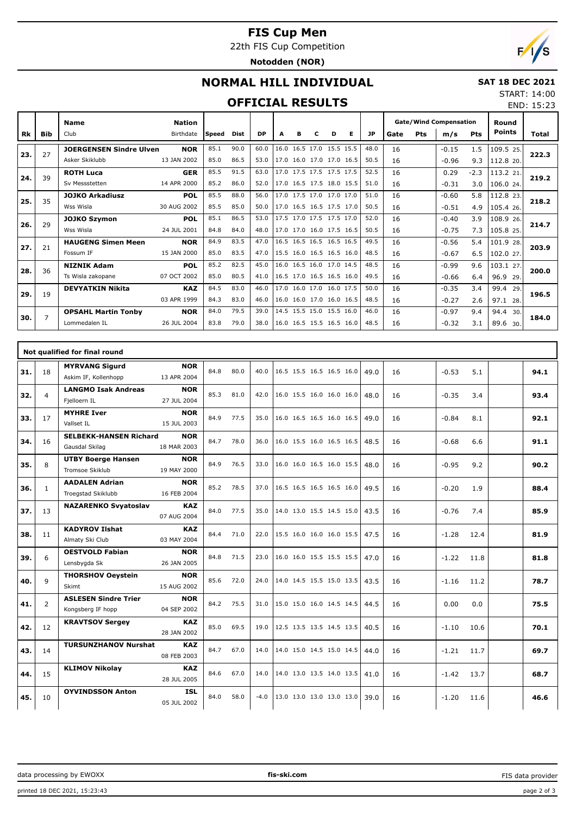# **FIS Cup Men**

22th FIS Cup Competition

**Notodden (NOR)**



# **NORMAL HILL INDIVIDUAL**

#### **SAT 18 DEC 2021**  $4:00$

### **OFFICIAL RESULTS**

| START: 14:00 |            |
|--------------|------------|
|              | END: 15:23 |

|           |            | <b>Name</b>                    | <b>Nation</b> |       |             |           |   |   |                          |   |   |           |      |     | <b>Gate/Wind Compensation</b><br>m/s<br>$-0.15$ |            | Round         |       |
|-----------|------------|--------------------------------|---------------|-------|-------------|-----------|---|---|--------------------------|---|---|-----------|------|-----|-------------------------------------------------|------------|---------------|-------|
| <b>Rk</b> | <b>Bib</b> | Club                           | Birthdate     | Speed | <b>Dist</b> | <b>DP</b> | A | в | c                        | D | Е | <b>JP</b> | Gate | Pts |                                                 | <b>Pts</b> | <b>Points</b> | Total |
| 23.       | 27         | <b>JOERGENSEN Sindre Ulven</b> | <b>NOR</b>    | 85.1  | 90.0        | 60.0      |   |   | 16.0 16.5 17.0 15.5 15.5 |   |   | 48.0      | 16   |     |                                                 | 1.5        | 109.5 25.     | 222.3 |
|           |            | Asker Skiklubb                 | 13 JAN 2002   | 85.0  | 86.5        | 53.0      |   |   | 17.0 16.0 17.0 17.0 16.5 |   |   | 50.5      | 16   |     | $-0.96$                                         | 9.3        | 112.8 20.     |       |
| 24.       | 39         | <b>ROTH Luca</b>               | <b>GER</b>    | 85.5  | 91.5        | 63.0      |   |   | 17.0 17.5 17.5 17.5 17.5 |   |   | 52.5      | 16   |     | 0.29                                            | $-2.3$     | 113.2 21.     | 219.2 |
|           |            | Sv Messstetten                 | 14 APR 2000   | 85.2  | 86.0        | 52.0      |   |   | 17.0 16.5 17.5 18.0 15.5 |   |   | 51.0      | 16   |     | $-0.31$                                         | 3.0        | 106.0 24.     |       |
| 25.       | 35         | <b>JOJKO Arkadiusz</b>         | <b>POL</b>    | 85.5  | 88.0        | 56.0      |   |   | 17.0 17.5 17.0 17.0 17.0 |   |   | 51.0      | 16   |     | $-0.60$                                         | 5.8        | 112.8 23.     | 218.2 |
|           |            | Wss Wisla                      | 30 AUG 2002   | 85.5  | 85.0        | 50.0      |   |   | 17.0 16.5 16.5 17.5 17.0 |   |   | 50.5      | 16   |     | $-0.51$                                         | 4.9        | 105.4 26.     |       |
| 26.       | 29         | <b>JOJKO Szymon</b>            | <b>POL</b>    | 85.1  | 86.5        | 53.0      |   |   | 17.5 17.0 17.5 17.5 17.0 |   |   | 52.0      | 16   |     | $-0.40$                                         | 3.9        | 108.9 26.     | 214.7 |
|           |            | Wss Wisla                      | 24 JUL 2001   | 84.8  | 84.0        | 48.0      |   |   | 17.0 17.0 16.0 17.5 16.5 |   |   | 50.5      | 16   |     | $-0.75$                                         | 7.3        | 105.8 25.     |       |
| 27.       | 21         | <b>HAUGENG Simen Meen</b>      | <b>NOR</b>    | 84.9  | 83.5        | 47.0      |   |   | 16.5 16.5 16.5 16.5 16.5 |   |   | 49.5      | 16   |     | $-0.56$                                         | 5.4        | 101.9 28.     | 203.9 |
|           |            | Fossum IF                      | 15 JAN 2000   | 85.0  | 83.5        | 47.0      |   |   | 15.5 16.0 16.5 16.5 16.0 |   |   | 48.5      | 16   |     | $-0.67$                                         | 6.5        | 102.0 27.     |       |
| 28.       | 36         | <b>NIZNIK Adam</b>             | <b>POL</b>    | 85.2  | 82.5        | 45.0      |   |   | 16.0 16.5 16.0 17.0 14.5 |   |   | 48.5      | 16   |     | $-0.99$                                         | 9.6        | 103.1 27.     | 200.0 |
|           |            | Ts Wisla zakopane              | 07 OCT 2002   | 85.0  | 80.5        | 41.0      |   |   | 16.5 17.0 16.5 16.5 16.0 |   |   | 49.5      | 16   |     | $-0.66$                                         | 6.4        | 96.9 29.      |       |
| 29.       | 19         | <b>DEVYATKIN Nikita</b>        | <b>KAZ</b>    | 84.5  | 83.0        | 46.0      |   |   | 17.0 16.0 17.0 16.0 17.5 |   |   | 50.0      | 16   |     | $-0.35$                                         | 3.4        | 99.4<br>29.   | 196.5 |
|           |            |                                | 03 APR 1999   | 84.3  | 83.0        | 46.0      |   |   | 16.0 16.0 17.0 16.0 16.5 |   |   | 48.5      | 16   |     | $-0.27$                                         | 2.6        | 97.1 28.      |       |
| 30.       | 7          | <b>OPSAHL Martin Tonby</b>     | <b>NOR</b>    | 84.0  | 79.5        | 39.0      |   |   | 14.5 15.5 15.0 15.5 16.0 |   |   | 46.0      | 16   |     | $-0.97$                                         | 9.4        | 94.4<br>30.   | 184.0 |
|           |            | Lommedalen IL                  | 26 JUL 2004   | 83.8  | 79.0        | 38.0      |   |   | 16.0 16.5 15.5 16.5 16.0 |   |   | 48.5      | 16   |     | $-0.32$                                         | 3.1        | 89.6 30.      |       |

|     |                | Not qualified for final round                    |                           |      |      |        |                          |  |      |    |         |      |      |
|-----|----------------|--------------------------------------------------|---------------------------|------|------|--------|--------------------------|--|------|----|---------|------|------|
| 31. | 18             | <b>MYRVANG Sigurd</b><br>Askim IF, Kollenhopp    | <b>NOR</b><br>13 APR 2004 | 84.8 | 80.0 | 40.0   | 16.5 15.5 16.5 16.5 16.0 |  | 49.0 | 16 | $-0.53$ | 5.1  | 94.1 |
| 32. | $\overline{4}$ | <b>LANGMO Isak Andreas</b><br>Fjelloern IL       | <b>NOR</b><br>27 JUL 2004 | 85.3 | 81.0 | 42.0   | 16.0 15.5 16.0 16.0 16.0 |  | 48.0 | 16 | $-0.35$ | 3.4  | 93.4 |
| 33. | 17             | <b>MYHRE Iver</b><br>Vallset IL                  | <b>NOR</b><br>15 JUL 2003 | 84.9 | 77.5 | 35.0   | 16.0 16.5 16.5 16.0 16.5 |  | 49.0 | 16 | $-0.84$ | 8.1  | 92.1 |
| 34. | 16             | <b>SELBEKK-HANSEN Richard</b><br>Gausdal Skilag  | <b>NOR</b><br>18 MAR 2003 | 84.7 | 78.0 | 36.0   | 16.0 15.5 16.0 16.5 16.5 |  | 48.5 | 16 | $-0.68$ | 6.6  | 91.1 |
| 35. | 8              | <b>UTBY Boerge Hansen</b><br>Tromsoe Skiklub     | <b>NOR</b><br>19 MAY 2000 | 84.9 | 76.5 | 33.0   | 16.0 16.0 16.5 16.0 15.5 |  | 48.0 | 16 | $-0.95$ | 9.2  | 90.2 |
| 36. | $\mathbf{1}$   | <b>AADALEN Adrian</b><br>Troegstad Skiklubb      | <b>NOR</b><br>16 FEB 2004 | 85.2 | 78.5 | 37.0   | 16.5 16.5 16.5 16.5 16.0 |  | 49.5 | 16 | $-0.20$ | 1.9  | 88.4 |
| 37. | 13             | <b>NAZARENKO Svyatoslav</b>                      | <b>KAZ</b><br>07 AUG 2004 | 84.0 | 77.5 | 35.0   | 14.0 13.0 15.5 14.5 15.0 |  | 43.5 | 16 | $-0.76$ | 7.4  | 85.9 |
| 38. | 11             | <b>KADYROV Ilshat</b><br>Almaty Ski Club         | <b>KAZ</b><br>03 MAY 2004 | 84.4 | 71.0 | 22.0   | 15.5 16.0 16.0 16.0 15.5 |  | 47.5 | 16 | $-1.28$ | 12.4 | 81.9 |
| 39. | 6              | <b>OESTVOLD Fabian</b><br>Lensbygda Sk           | <b>NOR</b><br>26 JAN 2005 | 84.8 | 71.5 | 23.0   | 16.0 16.0 15.5 15.5 15.5 |  | 47.0 | 16 | $-1.22$ | 11.8 | 81.8 |
| 40. | 9              | <b>THORSHOV Oeystein</b><br>Skimt                | <b>NOR</b><br>15 AUG 2002 | 85.6 | 72.0 | 24.0   | 14.0 14.5 15.5 15.0 13.5 |  | 43.5 | 16 | $-1.16$ | 11.2 | 78.7 |
| 41. | $\overline{2}$ | <b>ASLESEN Sindre Trier</b><br>Kongsberg IF hopp | <b>NOR</b><br>04 SEP 2002 | 84.2 | 75.5 | 31.0   | 15.0 15.0 16.0 14.5 14.5 |  | 44.5 | 16 | 0.00    | 0.0  | 75.5 |
| 42. | 12             | <b>KRAVTSOV Sergey</b>                           | <b>KAZ</b><br>28 JAN 2002 | 85.0 | 69.5 | 19.0   | 12.5 13.5 13.5 14.5 13.5 |  | 40.5 | 16 | $-1.10$ | 10.6 | 70.1 |
| 43. | 14             | <b>TURSUNZHANOV Nurshat</b>                      | <b>KAZ</b><br>08 FEB 2003 | 84.7 | 67.0 | 14.0   | 14.0 15.0 14.5 15.0 14.5 |  | 44.0 | 16 | $-1.21$ | 11.7 | 69.7 |
| 44. | 15             | <b>KLIMOV Nikolay</b>                            | <b>KAZ</b><br>28 JUL 2005 | 84.6 | 67.0 | 14.0   | 14.0 13.0 13.5 14.0 13.5 |  | 41.0 | 16 | $-1.42$ | 13.7 | 68.7 |
| 45. | 10             | <b>OYVINDSSON Anton</b>                          | <b>ISL</b><br>05 JUL 2002 | 84.0 | 58.0 | $-4.0$ | 13.0 13.0 13.0 13.0 13.0 |  | 39.0 | 16 | $-1.20$ | 11.6 | 46.6 |